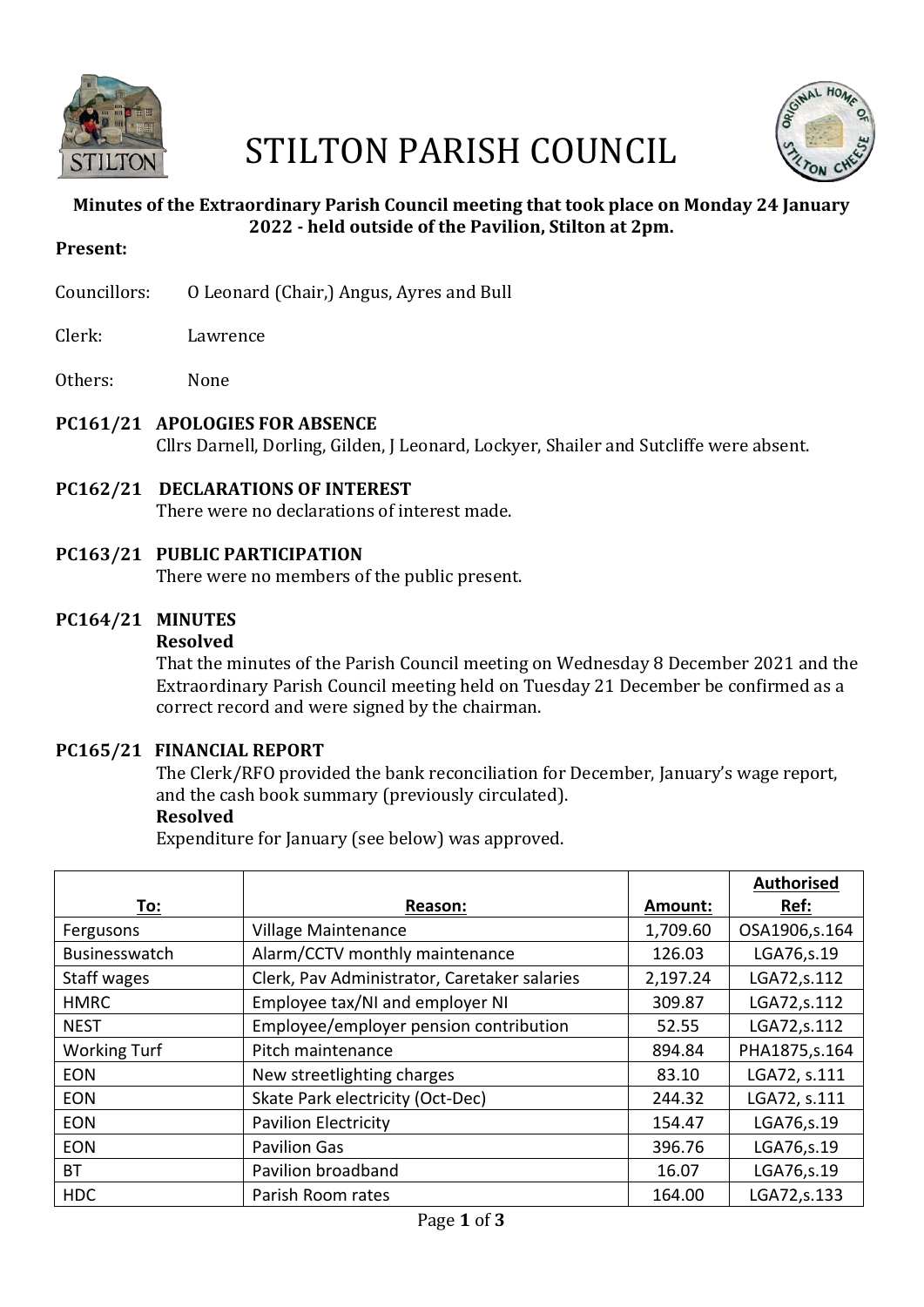

# STILTON PARISH COUNCIL



# **Minutes of the Extraordinary Parish Council meeting that took place on Monday 24 January 2022 - held outside of the Pavilion, Stilton at 2pm.**

#### **Present:**

- Councillors: 0 Leonard (Chair,) Angus, Ayres and Bull
- Clerk: Lawrence
- Others: None

# **PC161/21 APOLOGIES FOR ABSENCE**

Cllrs Darnell, Dorling, Gilden, J Leonard, Lockyer, Shailer and Sutcliffe were absent.

# **PC162/21 DECLARATIONS OF INTEREST**

There were no declarations of interest made.

## **PC163/21 PUBLIC PARTICIPATION**

There were no members of the public present.

# **PC164/21 MINUTES**

#### **Resolved**

That the minutes of the Parish Council meeting on Wednesday 8 December 2021 and the Extraordinary Parish Council meeting held on Tuesday 21 December be confirmed as a correct record and were signed by the chairman.

#### **PC165/21 FINANCIAL REPORT**

The Clerk/RFO provided the bank reconciliation for December, January's wage report, and the cash book summary (previously circulated).

#### **Resolved**

Expenditure for January (see below) was approved.

|                     |                                              |          | <b>Authorised</b> |
|---------------------|----------------------------------------------|----------|-------------------|
| To:                 | Reason:                                      | Amount:  | Ref:              |
| Fergusons           | Village Maintenance                          | 1,709.60 | OSA1906,s.164     |
| Businesswatch       | Alarm/CCTV monthly maintenance               | 126.03   | LGA76, s.19       |
| Staff wages         | Clerk, Pav Administrator, Caretaker salaries | 2,197.24 | LGA72,s.112       |
| <b>HMRC</b>         | Employee tax/NI and employer NI              | 309.87   | LGA72,s.112       |
| <b>NEST</b>         | Employee/employer pension contribution       | 52.55    | LGA72,s.112       |
| <b>Working Turf</b> | Pitch maintenance                            | 894.84   | PHA1875, s. 164   |
| <b>EON</b>          | New streetlighting charges                   | 83.10    | LGA72, s.111      |
| <b>EON</b>          | Skate Park electricity (Oct-Dec)             | 244.32   | LGA72, s.111      |
| <b>EON</b>          | <b>Pavilion Electricity</b>                  | 154.47   | LGA76, s.19       |
| <b>EON</b>          | <b>Pavilion Gas</b>                          | 396.76   | LGA76, s.19       |
| ВT                  | Pavilion broadband                           | 16.07    | LGA76, s.19       |
| <b>HDC</b>          | Parish Room rates                            | 164.00   | LGA72,s.133       |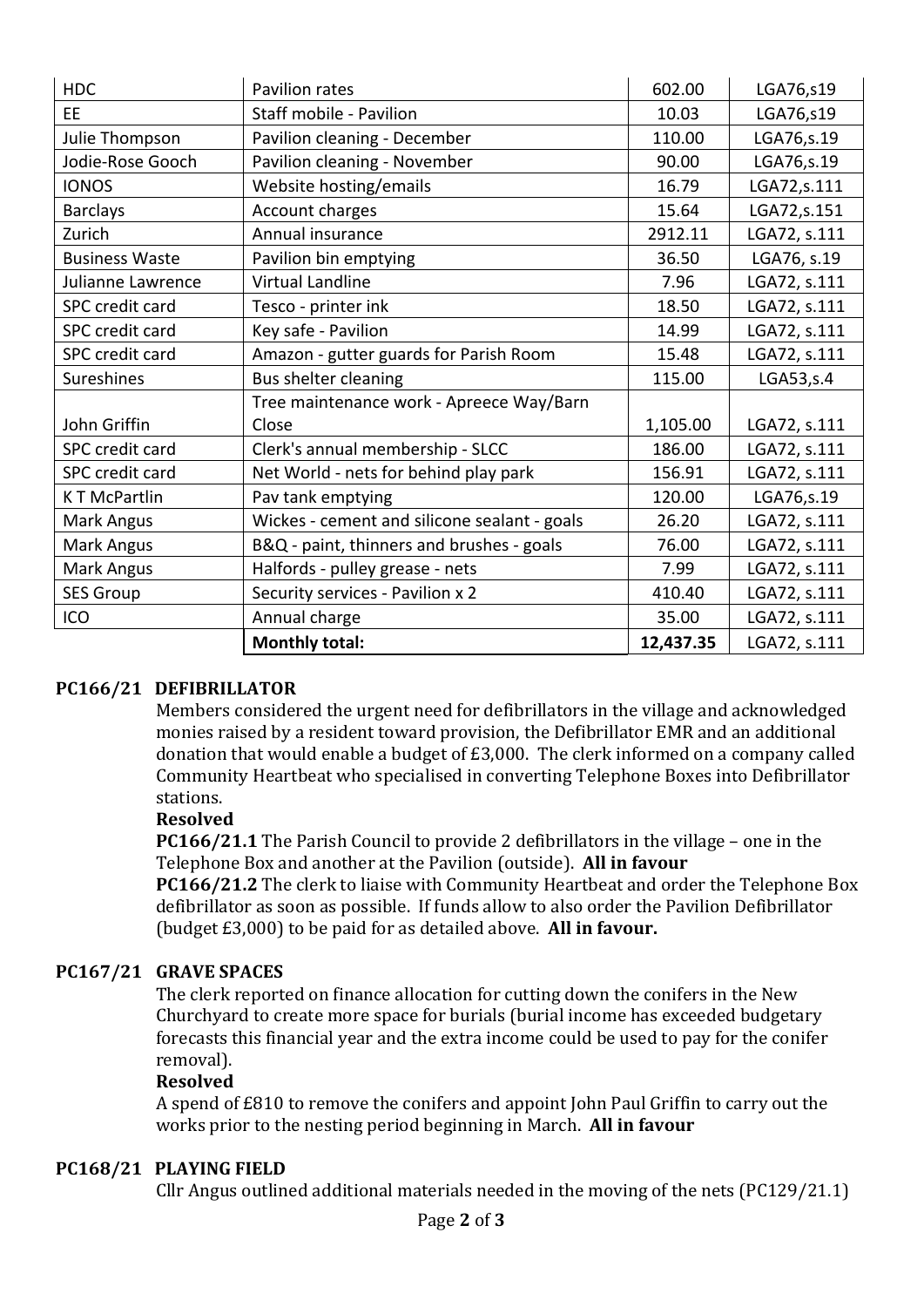| <b>HDC</b>            | Pavilion rates                               | 602.00    | LGA76,s19    |
|-----------------------|----------------------------------------------|-----------|--------------|
| <b>EE</b>             | Staff mobile - Pavilion                      | 10.03     | LGA76,s19    |
| Julie Thompson        | Pavilion cleaning - December                 | 110.00    | LGA76,s.19   |
| Jodie-Rose Gooch      | Pavilion cleaning - November                 | 90.00     | LGA76, s.19  |
| <b>IONOS</b>          | Website hosting/emails                       | 16.79     | LGA72,s.111  |
| <b>Barclays</b>       | Account charges                              | 15.64     | LGA72,s.151  |
| Zurich                | Annual insurance                             | 2912.11   | LGA72, s.111 |
| <b>Business Waste</b> | Pavilion bin emptying                        | 36.50     | LGA76, s.19  |
| Julianne Lawrence     | Virtual Landline                             | 7.96      | LGA72, s.111 |
| SPC credit card       | Tesco - printer ink                          | 18.50     | LGA72, s.111 |
| SPC credit card       | Key safe - Pavilion                          | 14.99     | LGA72, s.111 |
| SPC credit card       | Amazon - gutter guards for Parish Room       | 15.48     | LGA72, s.111 |
| <b>Sureshines</b>     | Bus shelter cleaning                         | 115.00    | LGA53, s.4   |
|                       | Tree maintenance work - Apreece Way/Barn     |           |              |
| John Griffin          | Close                                        | 1,105.00  | LGA72, s.111 |
| SPC credit card       | Clerk's annual membership - SLCC             | 186.00    | LGA72, s.111 |
| SPC credit card       | Net World - nets for behind play park        | 156.91    | LGA72, s.111 |
| <b>KT McPartlin</b>   | Pav tank emptying                            | 120.00    | LGA76, s.19  |
| Mark Angus            | Wickes - cement and silicone sealant - goals | 26.20     | LGA72, s.111 |
| Mark Angus            | B&Q - paint, thinners and brushes - goals    | 76.00     | LGA72, s.111 |
| Mark Angus            | Halfords - pulley grease - nets              | 7.99      | LGA72, s.111 |
| <b>SES Group</b>      | Security services - Pavilion x 2             | 410.40    | LGA72, s.111 |
| ICO                   | Annual charge                                | 35.00     | LGA72, s.111 |
|                       | <b>Monthly total:</b>                        | 12,437.35 | LGA72, s.111 |

# **PC166/21 DEFIBRILLATOR**

Members considered the urgent need for defibrillators in the village and acknowledged monies raised by a resident toward provision, the Defibrillator EMR and an additional donation that would enable a budget of  $£3,000$ . The clerk informed on a company called Community Heartbeat who specialised in converting Telephone Boxes into Defibrillator stations. 

#### **Resolved**

**PC166/21.1** The Parish Council to provide 2 defibrillators in the village – one in the Telephone Box and another at the Pavilion (outside). All in favour

**PC166/21.2** The clerk to liaise with Community Heartbeat and order the Telephone Box defibrillator as soon as possible. If funds allow to also order the Pavilion Defibrillator (budget £3,000) to be paid for as detailed above. All in favour.

# **PC167/21 GRAVE SPACES**

The clerk reported on finance allocation for cutting down the conifers in the New Churchyard to create more space for burials (burial income has exceeded budgetary forecasts this financial year and the extra income could be used to pay for the conifer removal).

#### **Resolved**

A spend of £810 to remove the conifers and appoint John Paul Griffin to carry out the works prior to the nesting period beginning in March. **All in favour** 

## **PC168/21 PLAYING FIELD**

Cllr Angus outlined additional materials needed in the moving of the nets (PC129/21.1)